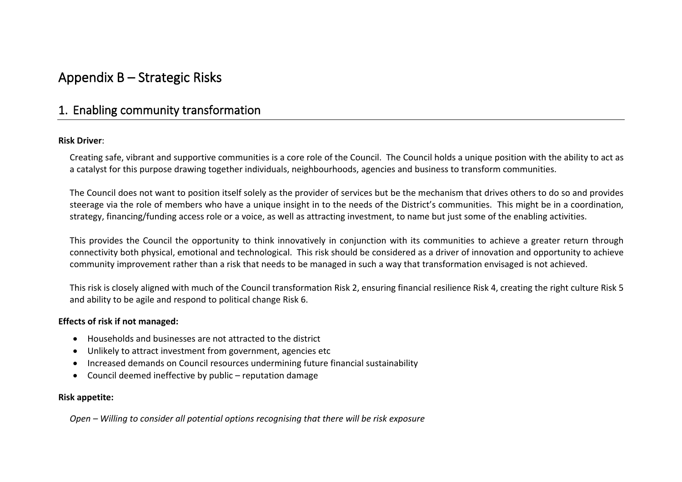# **Appendix B – Strategic Risks**

### **1. Enabling community transformation**

### **Risk Driver**:

Creating safe, vibrant and supportive communities is a core role of the Council. The Council holds a unique position with the ability to act as a catalyst for this purpose drawing together individuals, neighbourhoods, agencies and business to transform communities.

The Council does not want to position itself solely as the provider of services but be the mechanism that drives others to do so and provides steerage via the role of members who have a unique insight in to the needs of the District's communities. This might be in a coordination, strategy, financing/funding access role or a voice, as well as attracting investment, to name but just some of the enabling activities.

This provides the Council the opportunity to think innovatively in conjunction with its communities to achieve a greater return through connectivity both physical, emotional and technological. This risk should be considered as a driver of innovation and opportunity to achieve community improvement rather than a risk that needs to be managed in such a way that transformation envisaged is not achieved.

This risk is closely aligned with much of the Council transformation Risk 2, ensuring financial resilience Risk 4, creating the right culture Risk 5 and ability to be agile and respond to political change Risk 6.

### **Effects of risk if not managed:**

- Households and businesses are not attracted to the district
- Unlikely to attract investment from government, agencies etc
- Increased demands on Council resources undermining future financial sustainability
- Council deemed ineffective by public reputation damage

### **Risk appetite:**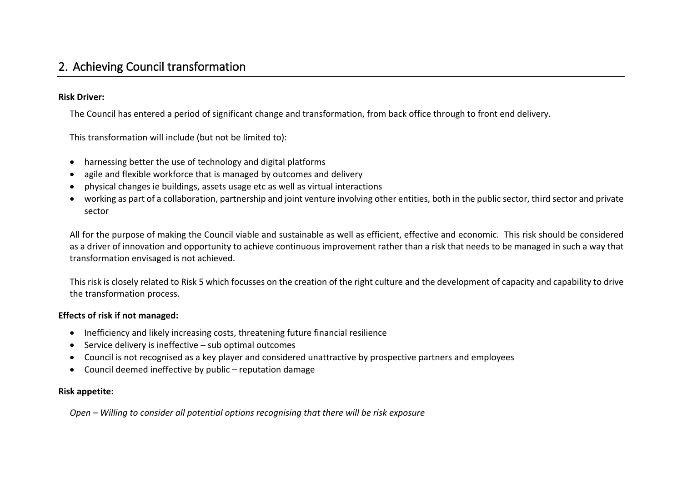# **2. Achieving Council transformation**

### **Risk Driver:**

The Council has entered a period of significant change and transformation, from back office through to front end delivery.

This transformation will include (but not be limited to):

- harnessing better the use of technology and digital platforms
- agile and flexible workforce that is managed by outcomes and delivery
- physical changes ie buildings, assets usage etc as well as virtual interactions
- working as part of a collaboration, partnership and joint venture involving other entities, both in the public sector, third sector and private sector

All for the purpose of making the Council viable and sustainable as well as efficient, effective and economic. This risk should be considered as a driver of innovation and opportunity to achieve continuous improvement rather than a risk that needs to be managed in such a way that transformation envisaged is not achieved.

This risk is closely related to Risk 5 which focusses on the creation of the right culture and the development of capacity and capability to drive the transformation process.

### **Effects of risk if not managed:**

- Inefficiency and likely increasing costs, threatening future financial resilience
- Service delivery is ineffective sub optimal outcomes
- Council is not recognised as a key player and considered unattractive by prospective partners and employees
- Council deemed ineffective by public reputation damage

### **Risk appetite:**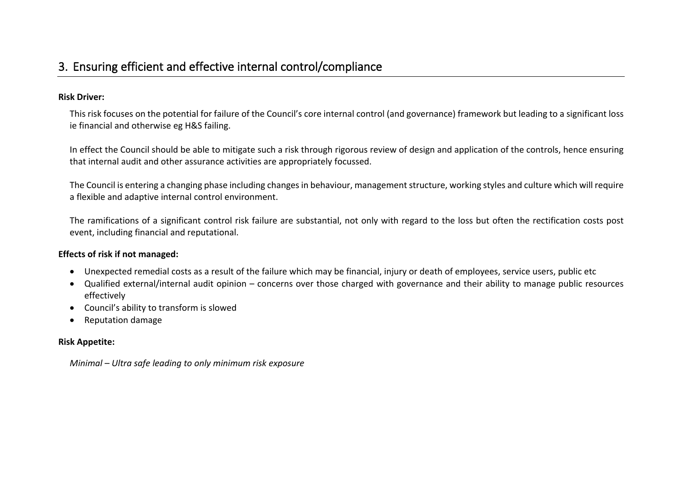# **3. Ensuring efficient and effective internal control/compliance**

### **Risk Driver:**

This risk focuses on the potential for failure of the Council's core internal control (and governance) framework but leading to a significant loss ie financial and otherwise eg H&S failing.

In effect the Council should be able to mitigate such a risk through rigorous review of design and application of the controls, hence ensuring that internal audit and other assurance activities are appropriately focussed.

The Council is entering a changing phase including changesin behaviour, managementstructure, working styles and culture which will require a flexible and adaptive internal control environment.

The ramifications of a significant control risk failure are substantial, not only with regard to the loss but often the rectification costs post event, including financial and reputational.

### **Effects of risk if not managed:**

- Unexpected remedial costs as a result of the failure which may be financial, injury or death of employees, service users, public etc
- Qualified external/internal audit opinion concerns over those charged with governance and their ability to manage public resources effectively
- Council's ability to transform is slowed
- Reputation damage

### **Risk Appetite:**

*Minimal – Ultra safe leading to only minimum risk exposure*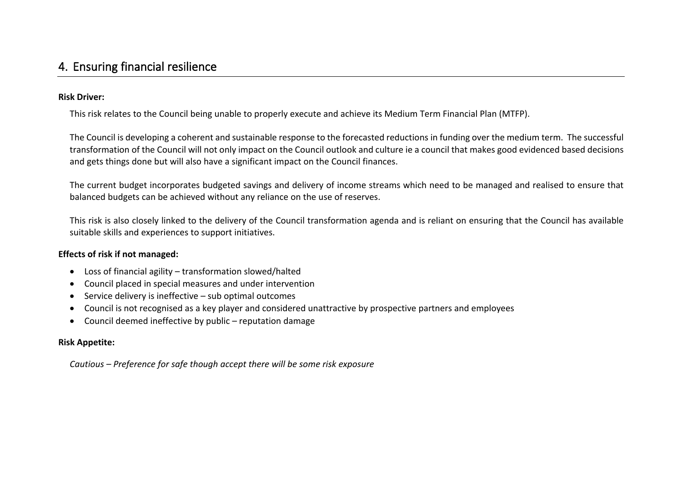### **4. Ensuring financial resilience**

### **Risk Driver:**

This risk relates to the Council being unable to properly execute and achieve its Medium Term Financial Plan (MTFP).

The Council is developing a coherent and sustainable response to the forecasted reductions in funding over the medium term. The successful transformation of the Council will not only impact on the Council outlook and culture ie a council that makes good evidenced based decisions and gets things done but will also have a significant impact on the Council finances.

The current budget incorporates budgeted savings and delivery of income streams which need to be managed and realised to ensure that balanced budgets can be achieved without any reliance on the use of reserves.

This risk is also closely linked to the delivery of the Council transformation agenda and is reliant on ensuring that the Council has available suitable skills and experiences to support initiatives.

### **Effects of risk if not managed:**

- Loss of financial agility transformation slowed/halted
- Council placed in special measures and under intervention
- Service delivery is ineffective sub optimal outcomes
- Council is not recognised as a key player and considered unattractive by prospective partners and employees
- Council deemed ineffective by public reputation damage

### **Risk Appetite:**

*Cautious – Preference for safe though accept there will be some risk exposure*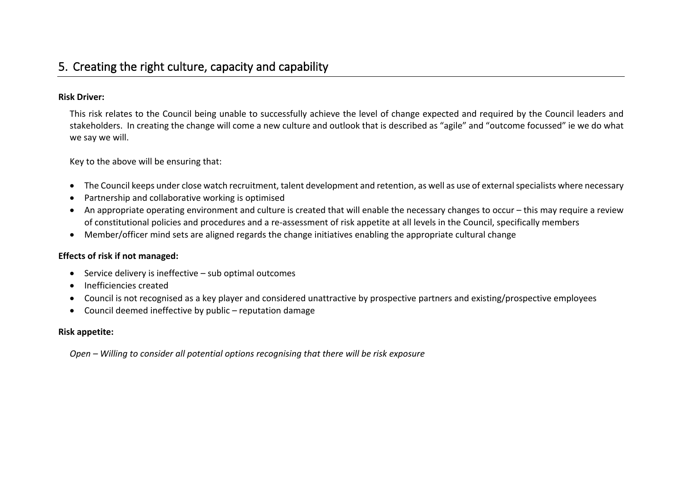### **Risk Driver:**

This risk relates to the Council being unable to successfully achieve the level of change expected and required by the Council leaders and stakeholders. In creating the change will come a new culture and outlook that is described as "agile" and "outcome focussed" ie we do what we say we will.

Key to the above will be ensuring that:

- The Council keeps under close watch recruitment, talent development and retention, as well as use of externalspecialists where necessary
- Partnership and collaborative working is optimised
- An appropriate operating environment and culture is created that will enable the necessary changes to occur this may require a review of constitutional policies and procedures and a re-assessment of risk appetite at all levels in the Council, specifically members
- Member/officer mind sets are aligned regards the change initiatives enabling the appropriate cultural change

### **Effects of risk if not managed:**

- Service delivery is ineffective sub optimal outcomes
- Inefficiencies created
- Council is not recognised as a key player and considered unattractive by prospective partners and existing/prospective employees
- Council deemed ineffective by public reputation damage

### **Risk appetite:**